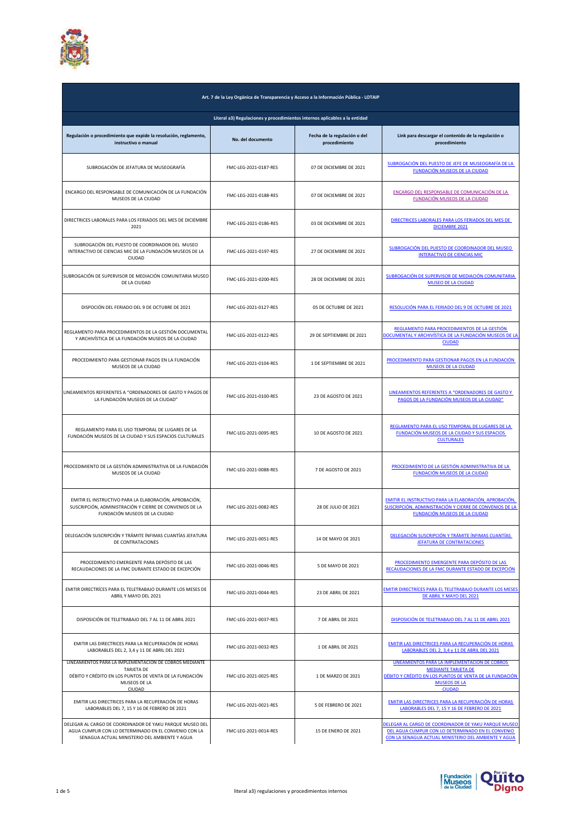

| Art. 7 de la Ley Orgánica de Transparencia y Acceso a la Información Pública - LOTAIP                                                                                   |                                                                            |                                               |                                                                                                                                                                                |
|-------------------------------------------------------------------------------------------------------------------------------------------------------------------------|----------------------------------------------------------------------------|-----------------------------------------------|--------------------------------------------------------------------------------------------------------------------------------------------------------------------------------|
|                                                                                                                                                                         | Literal a3) Regulaciones y procedimientos internos aplicables a la entidad |                                               |                                                                                                                                                                                |
| Regulación o procedimiento que expide la resolución, reglamento,<br>instructivo o manual                                                                                | No. del documento                                                          | Fecha de la regulación o del<br>procedimiento | Link para descargar el contenido de la regulación o<br>procedimiento                                                                                                           |
| SUBROGACIÓN DE JEFATURA DE MUSEOGRAFÍA                                                                                                                                  | FMC-LEG-2021-0187-RES                                                      | 07 DE DICIEMBRE DE 2021                       | SUBROGACIÓN DEL PUESTO DE JEFE DE MUSEOGRAFÍA DE LA<br>FUNDACIÓN MUSEOS DE LA CIUDAD                                                                                           |
| ENCARGO DEL RESPONSABLE DE COMUNICACIÓN DE LA FUNDACIÓN<br>MUSEOS DE LA CIUDAD                                                                                          | FMC-LEG-2021-0188-RES                                                      | 07 DE DICIEMBRE DE 2021                       | ENCARGO DEL RESPONSABLE DE COMUNICACIÓN DE LA<br><b>FUNDACIÓN MUSEOS DE LA CIUDAD</b>                                                                                          |
| DIRECTRICES LABORALES PARA LOS FERIADOS DEL MES DE DICIEMBRE<br>2021                                                                                                    | FMC-LEG-2021-0186-RES                                                      | 03 DE DICIEMBRE DE 2021                       | DIRECTRICES LABORALES PARA LOS FERIADOS DEL MES DE<br><b>DICIEMBRE 2021</b>                                                                                                    |
| SUBROGACIÓN DEL PUESTO DE COORDINADOR DEL MUSEO<br>INTERACTIVO DE CIENCIAS MIC DE LA FUNDACIÓN MUSEOS DE LA<br><b>CIUDAD</b>                                            | FMC-LEG-2021-0197-RES                                                      | 27 DE DICIEMBRE DE 2021                       | SUBROGACIÓN DEL PUESTO DE COORDINADOR DEL MUSEO<br><b>INTERACTIVO DE CIENCIAS MIC</b>                                                                                          |
| SUBROGACIÓN DE SUPERVISOR DE MEDIACIÓN COMUNITARIA MUSEO<br>DE LA CIUDAD                                                                                                | FMC-LEG-2021-0200-RES                                                      | 28 DE DICIEMBRE DE 2021                       | SUBROGACIÓN DE SUPERVISOR DE MEDIACIÓN COMUNITARIA<br><b>MUSEO DE LA CIUDAD</b>                                                                                                |
| DISPOCIÓN DEL FERIADO DEL 9 DE OCTUBRE DE 2021                                                                                                                          | FMC-LEG-2021-0127-RES                                                      | 05 DE OCTUBRE DE 2021                         | RESOLUCIÓN PARA EL FERIADO DEL 9 DE OCTUBRE DE 2021                                                                                                                            |
| REGLAMENTO PARA PROCEDIMIENTOS DE LA GESTIÓN DOCUMENTAL<br>Y ARCHIVÍSTICA DE LA FUNDACIÓN MUSEOS DE LA CIUDAD                                                           | FMC-LEG-2021-0122-RES                                                      | 29 DE SEPTIEMBRE DE 2021                      | REGLAMENTO PARA PROCEDIMIENTOS DE LA GESTIÓN<br>DOCUMENTAL Y ARCHIVÍSTICA DE LA FUNDACIÓN MUSEOS DE LA<br><b>CIUDAD</b>                                                        |
| PROCEDIMIENTO PARA GESTIONAR PAGOS EN LA FUNDACIÓN<br>MUSEOS DE LA CIUDAD                                                                                               | FMC-LEG-2021-0104-RES                                                      | 1 DE SEPTIEMBRE DE 2021                       | PROCEDIMIENTO PARA GESTIONAR PAGOS EN LA FUNDACIÓN<br><b>MUSEOS DE LA CIUDAD</b>                                                                                               |
| LINEAMIENTOS REFERENTES A "ORDENADORES DE GASTO Y PAGOS DE<br>LA FUNDACIÓN MUSEOS DE LA CIUDAD"                                                                         | FMC-LEG-2021-0100-RES                                                      | 23 DE AGOSTO DE 2021                          | LINEAMIENTOS REFERENTES A "ORDENADORES DE GASTO Y<br>PAGOS DE LA FUNDACIÓN MUSEOS DE LA CIUDAD"                                                                                |
| REGLAMENTO PARA EL USO TEMPORAL DE LUGARES DE LA<br>FUNDACIÓN MUSEOS DE LA CIUDAD Y SUS ESPACIOS CULTURALES                                                             | FMC-LEG-2021-0095-RES                                                      | 10 DE AGOSTO DE 2021                          | REGLAMENTO PARA EL USO TEMPORAL DE LUGARES DE LA<br>FUNDACIÓN MUSEOS DE LA CIUDAD Y SUS ESPACIOS<br><b>CULTURALES</b>                                                          |
| PROCEDIMIENTO DE LA GESTIÓN ADMINISTRATIVA DE LA FUNDACIÓN<br>MUSEOS DE LA CIUDAD                                                                                       | FMC-LEG-2021-0088-RES                                                      | 7 DE AGOSTO DE 2021                           | PROCEDIMIENTO DE LA GESTIÓN ADMINISTRATIVA DE LA<br>FUNDACIÓN MUSEOS DE LA CIUDAD                                                                                              |
| EMITIR EL INSTRUCTIVO PARA LA ELABORACIÓN, APROBACIÓN,<br>SUSCRIPCIÓN, ADMINISTRACIÓN Y CIERRE DE CONVENIOS DE LA<br>FUNDACIÓN MUSEOS DE LA CIUDAD                      | FMC-LEG-2021-0082-RES                                                      | 28 DE JULIO DE 2021                           | EMITIR EL INSTRUCTIVO PARA LA ELABORACIÓN, APROBACIÓN,<br>SUSCRIPCIÓN, ADMINISTRACIÓN Y CIERRE DE CONVENIOS DE LA<br>FUNDACIÓN MUSEOS DE LA CIUDAD                             |
| DELEGACIÓN SUSCRIPCIÓN Y TRÁMITE ÍNFIMAS CUANTÍAS JEFATURA<br>DE CONTRATACIONES                                                                                         | FMC-LEG-2021-0051-RES                                                      | 14 DE MAYO DE 2021                            | DELEGACIÓN SUSCRIPCIÓN Y TRÁMITE ÍNFIMAS CUANTÍAS<br>JEFATURA DE CONTRATACIONES                                                                                                |
| PROCEDIMIENTO EMERGENTE PARA DEPÓSITO DE LAS<br>RECAUDACIONES DE LA FMC DURANTE ESTADO DE EXCEPCIÓN                                                                     | FMC-LEG-2021-0046-RES                                                      | 5 DE MAYO DE 2021                             | PROCEDIMIENTO EMERGENTE PARA DEPÓSITO DE LAS<br>RECAUDACIONES DE LA FMC DURANTE ESTADO DE EXCEPCIÓN                                                                            |
| EMITIR DIRECTRÍCES PARA EL TELETRABAJO DURANTE LOS MESES DE<br>ABRIL Y MAYO DEL 2021                                                                                    | FMC-LEG-2021-0044-RES                                                      | 23 DE ABRIL DE 2021                           | EMITIR DIRECTRÍCES PARA EL TELETRABAJO DURANTE LOS MESES<br>DE ABRIL Y MAYO DEL 2021                                                                                           |
| DISPOSICIÓN DE TELETRABAJO DEL 7 AL 11 DE ABRIL 2021                                                                                                                    | FMC-LEG-2021-0037-RES                                                      | 7 DE ABRIL DE 2021                            | DISPOSICIÓN DE TELETRABAJO DEL 7 AL 11 DE ABRIL 2021                                                                                                                           |
| EMITIR LAS DIRECTRICES PARA LA RECUPERACIÓN DE HORAS<br>LABORABLES DEL 2, 3,4 y 11 DE ABRIL DEL 2021                                                                    | FMC-LEG-2021-0032-RES                                                      | 1 DE ABRIL DE 2021                            | EMITIR LAS DIRECTRICES PARA LA RECUPERACIÓN DE HORAS<br>LABORABLES DEL 2, 3,4 y 11 DE ABRIL DEL 2021                                                                           |
| LINEAMIENTOS PARA LA IMPLEMENTACIÓN DE COBROS MEDIANTE<br><b>TARJETA DE</b><br>DÉBITO Y CRÉDITO EN LOS PUNTOS DE VENTA DE LA FUNDACIÓN<br>MUSEOS DE LA<br><b>CIUDAD</b> | FMC-LEG-2021-0025-RES                                                      | 1 DE MARZO DE 2021                            | LINEAMIENTOS PARA LA IMPLEMENTACIÓN DE COBROS<br><b>MEDIANTE TARJETA DE</b><br>DÉBITO Y CRÉDITO EN LOS PUNTOS DE VENTA DE LA FUNDACIÓN<br><b>MUSEOS DE LA</b><br><b>CIUDAD</b> |
| EMITIR LAS DIRECTRICES PARA LA RECUPERACIÓN DE HORAS<br>LABORABLES DEL 7, 15 Y 16 DE FEBRERO DE 2021                                                                    | FMC-LEG-2021-0021-RES                                                      | 5 DE FEBRERO DE 2021                          | EMITIR LAS DIRECTRICES PARA LA RECUPERACIÓN DE HORAS<br>LABORABLES DEL 7, 15 Y 16 DE FEBRERO DE 2021                                                                           |
| DELEGAR AL CARGO DE COORDINADOR DE YAKU PARQUE MUSEO DEL<br>AGUA CUMPLIR CON LO DETERMINADO EN EL CONVENIO CON LA<br>SENAGUA ACTUAL MINISTERIO DEL AMBIENTE Y AGUA      | FMC-LEG-2021-0014-RES                                                      | 15 DE ENERO DE 2021                           | DELEGAR AL CARGO DE COORDINADOR DE YAKU PARQUE MUSEO<br>DEL AGUA CUMPLIR CON LO DETERMINADO EN EL CONVENIO<br>CON LA SENAGUA ACTUAL MINISTERIO DEL AMBIENTE Y AGUA             |

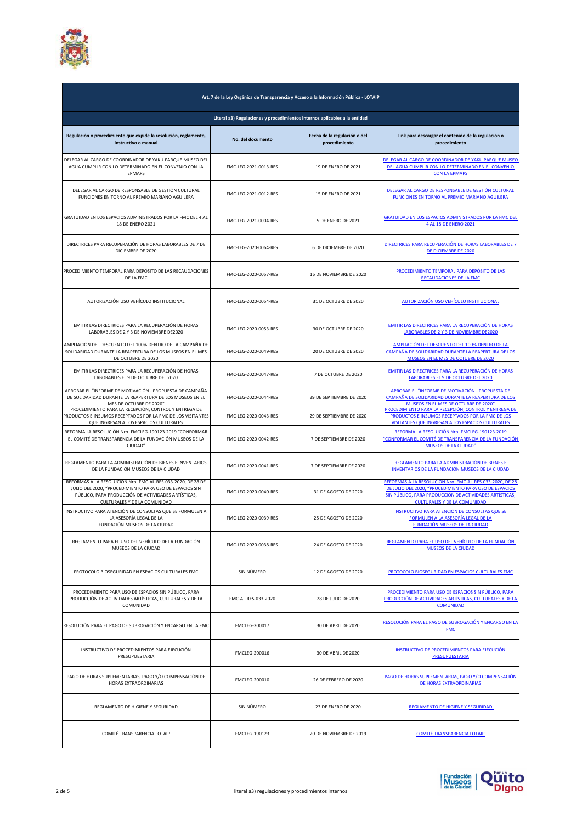

| Art. 7 de la Ley Orgánica de Transparencia y Acceso a la Información Pública - LOTAIP<br>Literal a3) Regulaciones y procedimientos internos aplicables a la entidad                                           |                       |                            |                                                                                                                                                                                                                      |
|---------------------------------------------------------------------------------------------------------------------------------------------------------------------------------------------------------------|-----------------------|----------------------------|----------------------------------------------------------------------------------------------------------------------------------------------------------------------------------------------------------------------|
|                                                                                                                                                                                                               |                       |                            |                                                                                                                                                                                                                      |
| DELEGAR AL CARGO DE COORDINADOR DE YAKU PARQUE MUSEO DEL<br>AGUA CUMPLIR CON LO DETERMINADO EN EL CONVENIO CON LA<br><b>EPMAPS</b>                                                                            | FMC-LEG-2021-0013-RES | <b>19 DE ENERO DE 2021</b> | DELEGAR AL CARGO DE COORDINADOR DE YAKU PARQUE MUSEO<br>DEL AGUA CUMPLIR CON LO DETERMINADO EN EL CONVENIO<br><b>CON LA EPMAPS</b>                                                                                   |
| DELEGAR AL CARGO DE RESPONSABLE DE GESTIÓN CULTURAL<br>FUNCIONES EN TORNO AL PREMIO MARIANO AGUILERA                                                                                                          | FMC-LEG-2021-0012-RES | <b>15 DE ENERO DE 2021</b> | DELEGAR AL CARGO DE RESPONSABLE DE GESTIÓN CULTURAL<br>FUNCIONES EN TORNO AL PREMIO MARIANO AGUILERA                                                                                                                 |
| GRATUIDAD EN LOS ESPACIOS ADMINISTRADOS POR LA FMC DEL 4 AL<br>18 DE ENERO 2021                                                                                                                               | FMC-LEG-2021-0004-RES | <b>5 DE ENERO DE 2021</b>  | <b>GRATUIDAD EN LOS ESPACIOS ADMINISTRADOS POR LA FMC DEL</b><br>4 AL 18 DE ENERO 2021                                                                                                                               |
| DIRECTRICES PARA RECUPERACIÓN DE HORAS LABORABLES DE 7 DE<br>DICIEMBRE DE 2020                                                                                                                                | FMC-LEG-2020-0064-RES | 6 DE DICIEMBRE DE 2020     | DIRECTRICES PARA RECUPERACIÓN DE HORAS LABORABLES DE 7<br>DE DICIEMBRE DE 2020                                                                                                                                       |
| PROCEDIMIENTO TEMPORAL PARA DEPÓSITO DE LAS RECAUDACIONES<br>DE LA FMC                                                                                                                                        | FMC-LEG-2020-0057-RES | 16 DE NOVIEMBRE DE 2020    | PROCEDIMIENTO TEMPORAL PARA DEPÓSITO DE LAS<br>RECAUDACIONES DE LA FMC                                                                                                                                               |
| AUTORIZACIÓN USO VEHÍCULO INSTITUCIONAL                                                                                                                                                                       | FMC-LEG-2020-0054-RES | 31 DE OCTUBRE DE 2020      | AUTORIZACIÓN USO VEHÍCULO INSTITUCIONAL                                                                                                                                                                              |
| EMITIR LAS DIRECTRICES PARA LA RECUPERACIÓN DE HORAS<br>LABORABLES DE 2 Y 3 DE NOVIEMBRE DE2020                                                                                                               | FMC-LEG-2020-0053-RES | 30 DE OCTUBRE DE 2020      | EMITIR LAS DIRECTRICES PARA LA RECUPERACIÓN DE HORAS<br>LABORABLES DE 2 Y 3 DE NOVIEMBRE DE2020                                                                                                                      |
| AMPLIACIÓN DEL DESCUENTO DEL 100% DENTRO DE LA CAMPAÑA DE<br>SOLIDARIDAD DURANTE LA REAPERTURA DE LOS MUSEOS EN EL MES<br>DE OCTUBRE DE 2020                                                                  | FMC-LEG-2020-0049-RES | 20 DE OCTUBRE DE 2020      | AMPLIACIÓN DEL DESCUENTO DEL 100% DENTRO DE LA<br>CAMPAÑA DE SOLIDARIDAD DURANTE LA REAPERTURA DE LOS<br>MUSEOS EN EL MES DE OCTUBRE DE 2020                                                                         |
| EMITIR LAS DIRECTRICES PARA LA RECUPERACIÓN DE HORAS<br>LABORABLES EL 9 DE OCTUBRE DEL 2020                                                                                                                   | FMC-LEG-2020-0047-RES | 7 DE OCTUBRE DE 2020       | EMITIR LAS DIRECTRICES PARA LA RECUPERACIÓN DE HORAS<br>LABORABLES EL 9 DE OCTUBRE DEL 2020                                                                                                                          |
| APROBAR EL "INFORME DE MOTIVACIÓN - PROPUESTA DE CAMPAÑA<br>DE SOLIDARIDAD DURANTE LA REAPERTURA DE LOS MUSEOS EN EL<br>MES DE OCTUBRE DE 2020"                                                               | FMC-LEG-2020-0044-RES | 29 DE SEPTIEMBRE DE 2020   | APROBAR EL "INFORME DE MOTIVACIÓN - PROPUESTA DE<br>CAMPAÑA DE SOLIDARIDAD DURANTE LA REAPERTURA DE LOS<br>MUSEOS EN EL MES DE OCTUBRE DE 2020"                                                                      |
| PROCEDIMIENTO PARA LA RECEPCIÓN, CONTROL Y ENTREGA DE<br>PRODUCTOS E INSUMOS RECEPTADOS POR LA FMC DE LOS VISITANTES<br>QUE INGRESAN A LOS ESPACIOS CULTURALES                                                | FMC-LEG-2020-0043-RES | 29 DE SEPTIEMBRE DE 2020   | PROCEDIMIENTO PARA LA RECEPCIÓN, CONTROL Y ENTREGA DE<br>PRODUCTOS E INSUMOS RECEPTADOS POR LA FMC DE LOS<br>VISITANTES QUE INGRESAN A LOS ESPACIOS CULTURALES                                                       |
| REFORMA LA RESOLUCIÓN Nro. FMCLEG-190123-2019 "CONFORMAR<br>EL COMITÉ DE TRANSPARENCIA DE LA FUNDACIÓN MUSEOS DE LA<br>CIUDAD"                                                                                | FMC-LEG-2020-0042-RES | 7 DE SEPTIEMBRE DE 2020    | REFORMA LA RESOLUCIÓN Nro. FMCLEG-190123-2019<br>"CONFORMAR EL COMITÉ DE TRANSPARENCIA DE LA FUNDACIÓN<br><b>MUSEOS DE LA CIUDAD"</b>                                                                                |
| REGLAMENTO PARA LA ADMINISTRACIÓN DE BIENES E INVENTARIOS<br>DE LA FUNDACIÓN MUSEOS DE LA CIUDAD                                                                                                              | FMC-LEG-2020-0041-RES | 7 DE SEPTIEMBRE DE 2020    | REGLAMENTO PARA LA ADMINISTRACIÓN DE BIENES E<br>INVENTARIOS DE LA FUNDACIÓN MUSEOS DE LA CIUDAD                                                                                                                     |
| REFORMAS A LA RESOLUCIÓN Nro. FMC-AL-RES-033-2020, DE 28 DE<br>JULIO DEL 2020, "PROCEDIMIENTO PARA USO DE ESPACIOS SIN<br>PÚBLICO, PARA PRODUCCIÓN DE ACTIVIDADES ARTÍSTICAS,<br>CULTURALES Y DE LA COMUNIDAD | FMC-LEG-2020-0040-RES | 31 DE AGOSTO DE 2020       | REFORMAS A LA RESOLUCIÓN Nro. FMC-AL-RES-033-2020, DE 28<br>DE JULIO DEL 2020, "PROCEDIMIENTO PARA USO DE ESPACIOS<br>SIN PÚBLICO, PARA PRODUCCIÓN DE ACTIVIDADES ARTÍSTICAS,<br><b>CULTURALES Y DE LA COMUNIDAD</b> |
| INSTRUCTIVO PARA ATENCIÓN DE CONSULTAS QUE SE FORMULEN A<br>LA ASESORÍA LEGAL DE LA<br>FUNDACIÓN MUSEOS DE LA CIUDAD                                                                                          | FMC-LEG-2020-0039-RES | 25 DE AGOSTO DE 2020       | INSTRUCTIVO PARA ATENCIÓN DE CONSULTAS QUE SE<br>FORMULEN A LA ASESORÍA LEGAL DE LA<br><b>FUNDACIÓN MUSEOS DE LA CIUDAD</b>                                                                                          |
| REGLAMENTO PARA EL USO DEL VEHÍCULO DE LA FUNDACIÓN<br>MUSEOS DE LA CIUDAD                                                                                                                                    | FMC-LEG-2020-0038-RES | 24 DE AGOSTO DE 2020       | REGLAMENTO PARA EL USO DEL VEHÍCULO DE LA FUNDACIÓN<br><b>MUSEOS DE LA CIUDAD</b>                                                                                                                                    |
| PROTOCOLO BIOSEGURIDAD EN ESPACIOS CULTURALES FMC                                                                                                                                                             | SIN NÚMERO            | 12 DE AGOSTO DE 2020       | PROTOCOLO BIOSEGURIDAD EN ESPACIOS CULTURALES FMC                                                                                                                                                                    |
| PROCEDIMIENTO PARA USO DE ESPACIOS SIN PÚBLICO, PARA<br>PRODUCCIÓN DE ACTIVIDADES ARTÍSTICAS, CULTURALES Y DE LA<br>COMUNIDAD                                                                                 | FMC-AL-RES-033-2020   | 28 DE JULIO DE 2020        | PROCEDIMIENTO PARA USO DE ESPACIOS SIN PÚBLICO, PARA<br>PRODUCCIÓN DE ACTIVIDADES ARTÍSTICAS, CULTURALES Y DE LA<br><b>COMUNIDAD</b>                                                                                 |
| RESOLUCIÓN PARA EL PAGO DE SUBROGACIÓN Y ENCARGO EN LA FMC                                                                                                                                                    | <b>FMCLEG-200017</b>  | 30 DE ABRIL DE 2020        | RESOLUCIÓN PARA EL PAGO DE SUBROGACIÓN Y ENCARGO EN LA<br><b>FMC</b>                                                                                                                                                 |
| INSTRUCTIVO DE PROCEDIMIENTOS PARA EJECUCIÓN<br>PRESUPUESTARIA                                                                                                                                                | FMCLEG-200016         | 30 DE ABRIL DE 2020        | INSTRUCTIVO DE PROCEDIMIENTOS PARA EJECUCIÓN<br><b>PRESUPUESTARIA</b>                                                                                                                                                |
| PAGO DE HORAS SUPLEMENTARIAS, PAGO Y/O COMPENSACIÓN DE<br>HORAS EXTRAORDINARIAS                                                                                                                               | FMCLEG-200010         | 26 DE FEBRERO DE 2020      | PAGO DE HORAS SUPLEMENTARIAS, PAGO Y/O COMPENSACIÓN<br>DE HORAS EXTRAORDINARIAS                                                                                                                                      |
| REGLAMENTO DE HIGIENE Y SEGURIDAD                                                                                                                                                                             | SIN NÚMERO            | 23 DE ENERO DE 2020        | <b>REGLAMENTO DE HIGIENE Y SEGURIDAD</b>                                                                                                                                                                             |
| COMITÉ TRANSPARENCIA LOTAIP                                                                                                                                                                                   | FMCLEG-190123         | 20 DE NOVIEMBRE DE 2019    | COMITÉ TRANSPARENCIA LOTAIP                                                                                                                                                                                          |

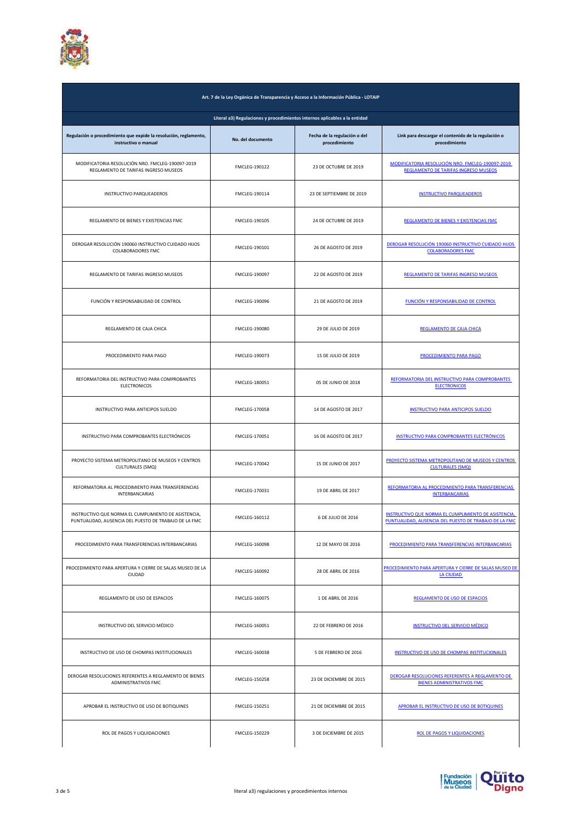

| Art. 7 de la Ley Orgánica de Transparencia y Acceso a la Información Pública - LOTAIP                         |                      |                                               |                                                                                                               |  |
|---------------------------------------------------------------------------------------------------------------|----------------------|-----------------------------------------------|---------------------------------------------------------------------------------------------------------------|--|
| Literal a3) Regulaciones y procedimientos internos aplicables a la entidad                                    |                      |                                               |                                                                                                               |  |
| Regulación o procedimiento que expide la resolución, reglamento,<br>instructivo o manual                      | No. del documento    | Fecha de la regulación o del<br>procedimiento | Link para descargar el contenido de la regulación o<br>procedimiento                                          |  |
| MODIFICATORIA RESOLUCIÓN NRO. FMCLEG-190097-2019<br>REGLAMENTO DE TARIFAS INGRESO MUSEOS                      | FMCLEG-190122        | 23 DE OCTUBRE DE 2019                         | MODIFICATORIA RESOLUCIÓN NRO. FMCLEG-190097-2019<br><b>REGLAMENTO DE TARIFAS INGRESO MUSEOS</b>               |  |
| INSTRUCTIVO PARQUEADEROS                                                                                      | FMCLEG-190114        | 23 DE SEPTIEMBRE DE 2019                      | <b>INSTRUCTIVO PARQUEADEROS</b>                                                                               |  |
| REGLAMENTO DE BIENES Y EXISTENCIAS FMC                                                                        | FMCLEG-190105        | 24 DE OCTUBRE DE 2019                         | REGLAMENTO DE BIENES Y EXISTENCIAS FMC                                                                        |  |
| DEROGAR RESOLUCIÓN 190060 INSTRUCTIVO CUIDADO HIJOS<br><b>COLABORADORES FMC</b>                               | FMCLEG-190101        | 26 DE AGOSTO DE 2019                          | DEROGAR RESOLUCIÓN 190060 INSTRUCTIVO CUIDADO HIJOS<br><b>COLABORADORES FMC</b>                               |  |
| REGLAMENTO DE TARIFAS INGRESO MUSEOS                                                                          | FMCLEG-190097        | 22 DE AGOSTO DE 2019                          | REGLAMENTO DE TARIFAS INGRESO MUSEOS                                                                          |  |
| FUNCIÓN Y RESPONSABILIDAD DE CONTROL                                                                          | FMCLEG-190096        | 21 DE AGOSTO DE 2019                          | <b>FUNCIÓN Y RESPONSABILIDAD DE CONTROL</b>                                                                   |  |
| REGLAMENTO DE CAJA CHICA                                                                                      | FMCLEG-190080        | 29 DE JULIO DE 2019                           | REGLAMENTO DE CAJA CHICA                                                                                      |  |
| PROCEDIMIENTO PARA PAGO                                                                                       | FMCLEG-190073        | 15 DE JULIO DE 2019                           | PROCEDIMIENTO PARA PAGO                                                                                       |  |
| REFORMATORIA DEL INSTRUCTIVO PARA COMPROBANTES<br><b>ELECTRONICOS</b>                                         | FMCLEG-180051        | 05 DE JUNIO DE 2018                           | REFORMATORIA DEL INSTRUCTIVO PARA COMPROBANTES<br><b>ELECTRONICOS</b>                                         |  |
| INSTRUCTIVO PARA ANTICIPOS SUELDO                                                                             | FMCLEG-170058        | 14 DE AGOSTO DE 2017                          | <b>INSTRUCTIVO PARA ANTICIPOS SUELDO</b>                                                                      |  |
| INSTRUCTIVO PARA COMPROBANTES ELECTRÓNICOS                                                                    | FMCLEG-170051        | 16 DE AGOSTO DE 2017                          | INSTRUCTIVO PARA COMPROBANTES ELECTRÓNICOS                                                                    |  |
| PROYECTO SISTEMA METROPOLITANO DE MUSEOS Y CENTROS<br><b>CULTURALES (SMQ)</b>                                 | FMCLEG-170042        | 15 DE JUNIO DE 2017                           | PROYECTO SISTEMA METROPOLITANO DE MUSEOS Y CENTROS<br><b>CULTURALES (SMQ)</b>                                 |  |
| REFORMATORIA AL PROCEDIMIENTO PARA TRANSFERENCIAS<br><b>INTERBANCARIAS</b>                                    | FMCLEG-170031        | 19 DE ABRIL DE 2017                           | REFORMATORIA AL PROCEDIMIENTO PARA TRANSFERENCIAS<br><b>INTERBANCARIAS</b>                                    |  |
| INSTRUCTIVO QUE NORMA EL CUMPLIMIENTO DE ASISTENCIA,<br>PUNTUALIDAD, AUSENCIA DEL PUESTO DE TRABAJO DE LA FMC | FMCLEG-160112        | 6 DE JULIO DE 2016                            | INSTRUCTIVO QUE NORMA EL CUMPLIMIENTO DE ASISTENCIA,<br>PUNTUALIDAD, AUSENCIA DEL PUESTO DE TRABAJO DE LA FMC |  |
| PROCEDIMIENTO PARA TRANSFERENCIAS INTERBANCARIAS                                                              | FMCLEG-160098        | 12 DE MAYO DE 2016                            | PROCEDIMIENTO PARA TRANSFERENCIAS INTERBANCARIAS                                                              |  |
| PROCEDIMIENTO PARA APERTURA Y CIERRE DE SALAS MUSEO DE LA<br>CIUDAD                                           | FMCLEG-160092        | 28 DE ABRIL DE 2016                           | PROCEDIMIENTO PARA APERTURA Y CIERRE DE SALAS MUSEO DE<br><b>LA CIUDAD</b>                                    |  |
| REGLAMENTO DE USO DE ESPACIOS                                                                                 | FMCLEG-160075        | 1 DE ABRIL DE 2016                            | REGLAMENTO DE USO DE ESPACIOS                                                                                 |  |
| INSTRUCTIVO DEL SERVICIO MÉDICO                                                                               | FMCLEG-160051        | 22 DE FEBRERO DE 2016                         | <b>INSTRUCTIVO DEL SERVICIO MÉDICO</b>                                                                        |  |
| INSTRUCTIVO DE USO DE CHOMPAS INSTITUCIONALES                                                                 | FMCLEG-160038        | 5 DE FEBRERO DE 2016                          | INSTRUCTIVO DE USO DE CHOMPAS INSTITUCIONALES                                                                 |  |
| DEROGAR RESOLUCIONES REFERENTES A REGLAMENTO DE BIENES<br>ADMINISTRATIVOS FMC                                 | <b>FMCLEG-150258</b> | 23 DE DICIEMBRE DE 2015                       | DEROGAR RESOLUCIONES REFERENTES A REGLAMENTO DE<br><b>BIENES ADMINISTRATIVOS FMC</b>                          |  |
| APROBAR EL INSTRUCTIVO DE USO DE BOTIQUINES                                                                   | <b>FMCLEG-150251</b> | 21 DE DICIEMBRE DE 2015                       | APROBAR EL INSTRUCTIVO DE USO DE BOTIQUINES                                                                   |  |
| ROL DE PAGOS Y LIQUIDACIONES                                                                                  | <b>FMCLEG-150229</b> | 3 DE DICIEMBRE DE 2015                        | <b>ROL DE PAGOS Y LIQUIDACIONES</b>                                                                           |  |

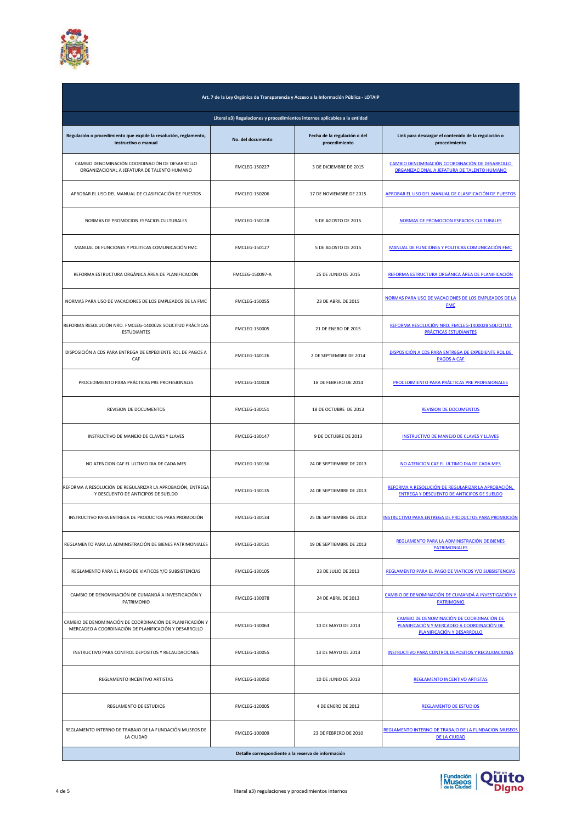

| Art. 7 de la Ley Orgánica de Transparencia y Acceso a la Información Pública - LOTAIP                              |                      |                                               |                                                                                                                       |
|--------------------------------------------------------------------------------------------------------------------|----------------------|-----------------------------------------------|-----------------------------------------------------------------------------------------------------------------------|
| Literal a3) Regulaciones y procedimientos internos aplicables a la entidad                                         |                      |                                               |                                                                                                                       |
| Regulación o procedimiento que expide la resolución, reglamento,<br>instructivo o manual                           | No. del documento    | Fecha de la regulación o del<br>procedimiento | Link para descargar el contenido de la regulación o<br>procedimiento                                                  |
| CAMBIO DENOMINACIÓN COORDINACIÓN DE DESARROLLO<br>ORGANIZACIONAL A JEFATURA DE TALENTO HUMANO                      | <b>FMCLEG-150227</b> | 3 DE DICIEMBRE DE 2015                        | CAMBIO DENOMINACIÓN COORDINACIÓN DE DESARROLLO<br>ORGANIZACIONAL A JEFATURA DE TALENTO HUMANO                         |
| APROBAR EL USO DEL MANUAL DE CLASIFICACIÓN DE PUESTOS                                                              | <b>FMCLEG-150206</b> | 17 DE NOVIEMBRE DE 2015                       | APROBAR EL USO DEL MANUAL DE CLASIFICACIÓN DE PUESTOS                                                                 |
| NORMAS DE PROMOCION ESPACIOS CULTURALES                                                                            | <b>FMCLEG-150128</b> | 5 DE AGOSTO DE 2015                           | NORMAS DE PROMOCION ESPACIOS CULTURALES                                                                               |
| MANUAL DE FUNCIONES Y POLITICAS COMUNICACIÓN FMC                                                                   | <b>FMCLEG-150127</b> | 5 DE AGOSTO DE 2015                           | MANUAL DE FUNCIONES Y POLITICAS COMUNICACIÓN FMC                                                                      |
| REFORMA ESTRUCTURA ORGÁNICA ÁREA DE PLANIFICACIÓN                                                                  | FMCLEG-150097-A      | 25 DE JUNIO DE 2015                           | REFORMA ESTRUCTURA ORGÁNICA ÁREA DE PLANIFICACIÓN                                                                     |
| NORMAS PARA USO DE VACACIONES DE LOS EMPLEADOS DE LA FMC                                                           | <b>FMCLEG-150055</b> | 23 DE ABRIL DE 2015                           | NORMAS PARA USO DE VACACIONES DE LOS EMPLEADOS DE LA<br><b>FMC</b>                                                    |
| REFORMA RESOLUCIÓN NRO. FMCLEG-1400028 SOLICITUD PRÁCTICAS<br><b>ESTUDIANTES</b>                                   | <b>FMCLEG-150005</b> | 21 DE ENERO DE 2015                           | REFORMA RESOLUCIÓN NRO. FMCLEG-1400028 SOLICITUD<br>PRÁCTICAS ESTUDIANTES                                             |
| DISPOSICIÓN A CDS PARA ENTREGA DE EXPEDIENTE ROL DE PAGOS A<br>CAF                                                 | FMCLEG-140126        | 2 DE SEPTIEMBRE DE 2014                       | DISPOSICIÓN A CDS PARA ENTREGA DE EXPEDIENTE ROL DE<br><b>PAGOS A CAF</b>                                             |
| PROCEDIMIENTO PARA PRÁCTICAS PRE PROFESIONALES                                                                     | FMCLEG-140028        | 18 DE FEBRERO DE 2014                         | PROCEDIMIENTO PARA PRÁCTICAS PRE PROFESIONALES                                                                        |
| REVISION DE DOCUMENTOS                                                                                             | FMCLEG-130151        | 18 DE OCTUBRE DE 2013                         | <b>REVISION DE DOCUMENTOS</b>                                                                                         |
| INSTRUCTIVO DE MANEJO DE CLAVES Y LLAVES                                                                           | FMCLEG-130147        | 9 DE OCTUBRE DE 2013                          | <b>INSTRUCTIVO DE MANEJO DE CLAVES Y LLAVES</b>                                                                       |
| NO ATENCION CAF EL ULTIMO DIA DE CADA MES                                                                          | FMCLEG-130136        | 24 DE SEPTIEMBRE DE 2013                      | NO ATENCION CAF EL ULTIMO DIA DE CADA MES                                                                             |
| REFORMA A RESOLUCIÓN DE REGULARIZAR LA APROBACIÓN, ENTREGA<br>Y DESCUENTO DE ANTICIPOS DE SUELDO                   | FMCLEG-130135        | 24 DE SEPTIEMBRE DE 2013                      | REFORMA A RESOLUCIÓN DE REGULARIZAR LA APROBACIÓN,<br><b>ENTREGA Y DESCUENTO DE ANTICIPOS DE SUELDO</b>               |
| INSTRUCTIVO PARA ENTREGA DE PRODUCTOS PARA PROMOCIÓN                                                               | FMCLEG-130134        | 25 DE SEPTIEMBRE DE 2013                      | <b>INSTRUCTIVO PARA ENTREGA DE PRODUCTOS PARA PROMOCIÓN</b>                                                           |
| REGLAMENTO PARA LA ADMINISTRACIÓN DE BIENES PATRIMONIALES                                                          | FMCLEG-130131        | 19 DE SEPTIEMBRE DE 2013                      | REGLAMENTO PARA LA ADMINISTRACIÓN DE BIENES<br><b>PATRIMONIALES</b>                                                   |
| REGLAMENTO PARA EL PAGO DE VIATICOS Y/O SUBSISTENCIAS                                                              | FMCLEG-130105        | 23 DE JULIO DE 2013                           | REGLAMENTO PARA EL PAGO DE VIATICOS Y/O SUBSISTENCIAS                                                                 |
| CAMBIO DE DENOMINACIÓN DE CUMANDÁ A INVESTIGACIÓN Y<br>PATRIMONIO                                                  | FMCLEG-130078        | 24 DE ABRIL DE 2013                           | CAMBIO DE DENOMINACIÓN DE CUMANDÁ A INVESTIGACIÓN Y<br><b>PATRIMONIO</b>                                              |
| CAMBIO DE DENOMINACIÓN DE COORDINACIÓN DE PLANIFICACIÓN Y<br>MERCADEO A COORDINACIÓN DE PLANIFICACIÓN Y DESARROLLO | FMCLEG-130063        | 10 DE MAYO DE 2013                            | CAMBIO DE DENOMINACIÓN DE COORDINACIÓN DE<br>PLANIFICACIÓN Y MERCADEO A COORDINACIÓN DE<br>PLANIFICACIÓN Y DESARROLLO |
| INSTRUCTIVO PARA CONTROL DEPOSITOS Y RECAUDACIONES                                                                 | <b>FMCLEG-130055</b> | 13 DE MAYO DE 2013                            | <b>INSTRUCTIVO PARA CONTROL DEPOSITOS Y RECAUDACIONES</b>                                                             |
| REGLAMENTO INCENTIVO ARTISTAS                                                                                      | FMCLEG-130050        | 10 DE JUNIO DE 2013                           | <b>REGLAMENTO INCENTIVO ARTISTAS</b>                                                                                  |
| REGLAMENTO DE ESTUDIOS                                                                                             | FMCLEG-120005        | 4 DE ENERO DE 2012                            | <b>REGLAMENTO DE ESTUDIOS</b>                                                                                         |
| REGLAMENTO INTERNO DE TRABAJO DE LA FUNDACIÓN MUSEOS DE<br>LA CIUDAD                                               | FMCLEG-100009        | 23 DE FEBRERO DE 2010                         | REGLAMENTO INTERNO DE TRABAJO DE LA FUNDACION MUSEOS<br><b>DE LA CIUDAD</b>                                           |
| Detalle correspondiente a la reserva de información                                                                |                      |                                               |                                                                                                                       |